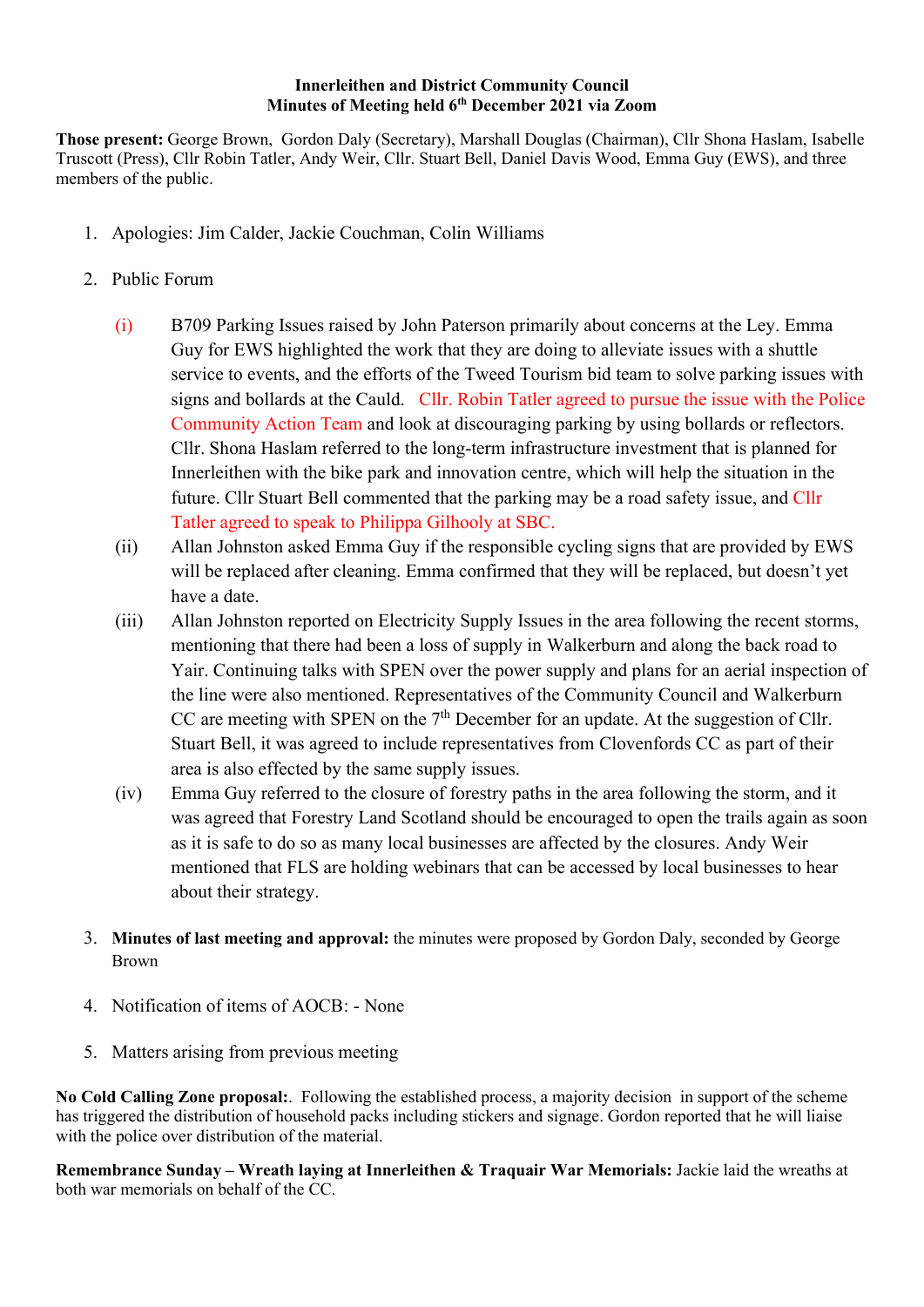## Innerleithen and District Community Council Minutes of Meeting held 6<sup>th</sup> December 2021 via Zoom

Those present: George Brown, Gordon Daly (Secretary), Marshall Douglas (Chairman), Cllr Shona Haslam, Isabelle Truscott (Press), Cllr Robin Tatler, Andy Weir, Cllr. Stuart Bell, Daniel Davis Wood, Emma Guy (EWS), and three members of the public.

- 1. Apologies: Jim Calder, Jackie Couchman, Colin Williams
- 2. Public Forum
	- (i) B709 Parking Issues raised by John Paterson primarily about concerns at the Ley. Emma Guy for EWS highlighted the work that they are doing to alleviate issues with a shuttle service to events, and the efforts of the Tweed Tourism bid team to solve parking issues with signs and bollards at the Cauld. Cllr. Robin Tatler agreed to pursue the issue with the Police Community Action Team and look at discouraging parking by using bollards or reflectors. Cllr. Shona Haslam referred to the long-term infrastructure investment that is planned for Innerleithen with the bike park and innovation centre, which will help the situation in the future. Cllr Stuart Bell commented that the parking may be a road safety issue, and Cllr Tatler agreed to speak to Philippa Gilhooly at SBC.
	- (ii) Allan Johnston asked Emma Guy if the responsible cycling signs that are provided by EWS will be replaced after cleaning. Emma confirmed that they will be replaced, but doesn't yet have a date.
	- (iii) Allan Johnston reported on Electricity Supply Issues in the area following the recent storms, mentioning that there had been a loss of supply in Walkerburn and along the back road to Yair. Continuing talks with SPEN over the power supply and plans for an aerial inspection of the line were also mentioned. Representatives of the Community Council and Walkerburn CC are meeting with SPEN on the  $7<sup>th</sup>$  December for an update. At the suggestion of Cllr. Stuart Bell, it was agreed to include representatives from Clovenfords CC as part of their area is also effected by the same supply issues.
	- (iv) Emma Guy referred to the closure of forestry paths in the area following the storm, and it was agreed that Forestry Land Scotland should be encouraged to open the trails again as soon as it is safe to do so as many local businesses are affected by the closures. Andy Weir mentioned that FLS are holding webinars that can be accessed by local businesses to hear about their strategy.
- 3. Minutes of last meeting and approval: the minutes were proposed by Gordon Daly, seconded by George Brown
- 4. Notification of items of AOCB: None
- 5. Matters arising from previous meeting

No Cold Calling Zone proposal:. Following the established process, a majority decision in support of the scheme has triggered the distribution of household packs including stickers and signage. Gordon reported that he will liaise with the police over distribution of the material.

Remembrance Sunday – Wreath laying at Innerleithen & Traquair War Memorials: Jackie laid the wreaths at both war memorials on behalf of the CC.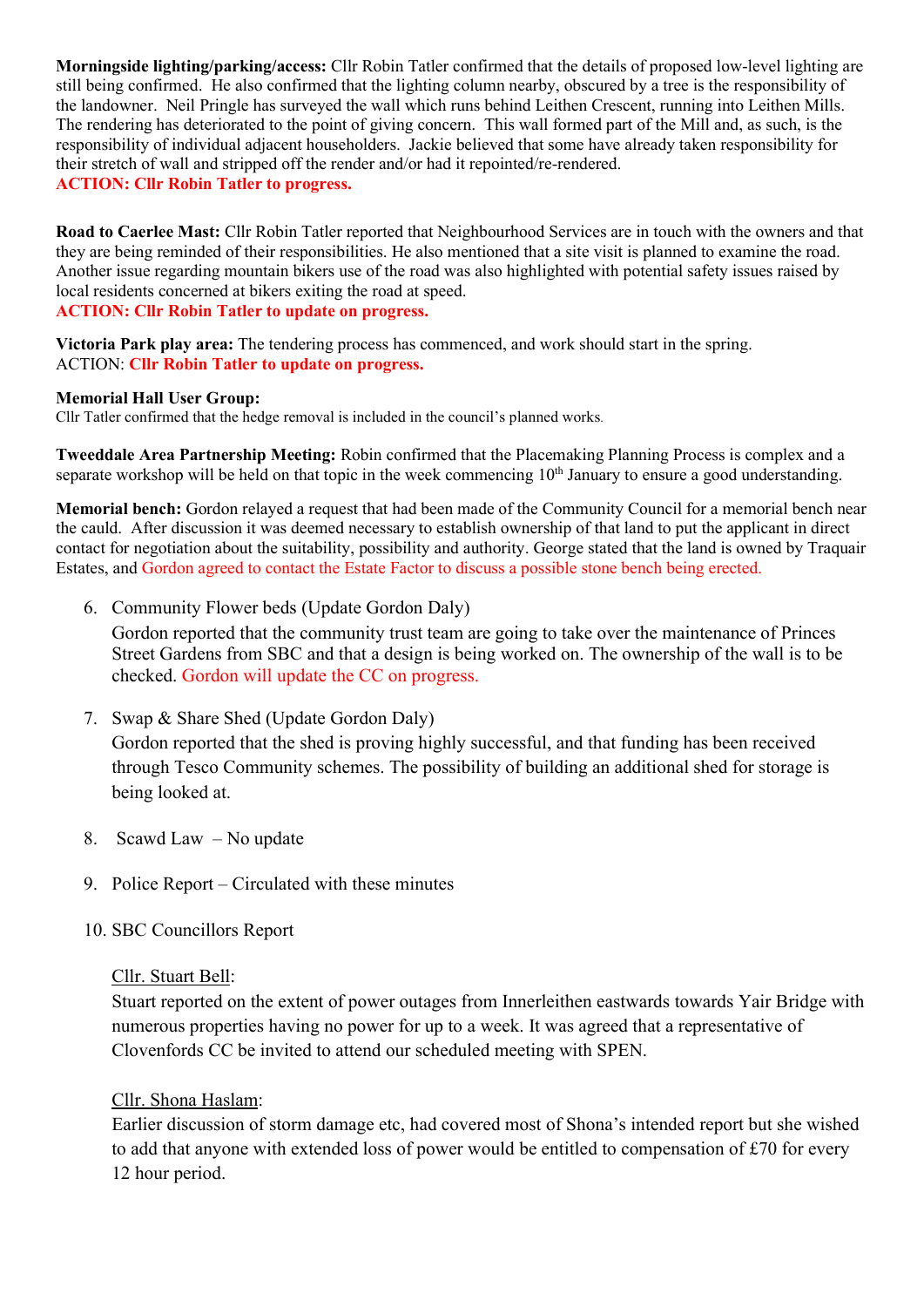Morningside lighting/parking/access: Cllr Robin Tatler confirmed that the details of proposed low-level lighting are still being confirmed. He also confirmed that the lighting column nearby, obscured by a tree is the responsibility of the landowner. Neil Pringle has surveyed the wall which runs behind Leithen Crescent, running into Leithen Mills. The rendering has deteriorated to the point of giving concern. This wall formed part of the Mill and, as such, is the responsibility of individual adjacent householders. Jackie believed that some have already taken responsibility for their stretch of wall and stripped off the render and/or had it repointed/re-rendered. ACTION: Cllr Robin Tatler to progress.

Road to Caerlee Mast: Cllr Robin Tatler reported that Neighbourhood Services are in touch with the owners and that they are being reminded of their responsibilities. He also mentioned that a site visit is planned to examine the road. Another issue regarding mountain bikers use of the road was also highlighted with potential safety issues raised by local residents concerned at bikers exiting the road at speed. ACTION: Cllr Robin Tatler to update on progress.

Victoria Park play area: The tendering process has commenced, and work should start in the spring. ACTION: Cllr Robin Tatler to update on progress.

## Memorial Hall User Group:

Cllr Tatler confirmed that the hedge removal is included in the council's planned works.

Tweeddale Area Partnership Meeting: Robin confirmed that the Placemaking Planning Process is complex and a separate workshop will be held on that topic in the week commencing  $10<sup>th</sup>$  January to ensure a good understanding.

Memorial bench: Gordon relayed a request that had been made of the Community Council for a memorial bench near the cauld. After discussion it was deemed necessary to establish ownership of that land to put the applicant in direct contact for negotiation about the suitability, possibility and authority. George stated that the land is owned by Traquair Estates, and Gordon agreed to contact the Estate Factor to discuss a possible stone bench being erected.

6. Community Flower beds (Update Gordon Daly)

Gordon reported that the community trust team are going to take over the maintenance of Princes Street Gardens from SBC and that a design is being worked on. The ownership of the wall is to be checked. Gordon will update the CC on progress.

7. Swap & Share Shed (Update Gordon Daly)

Gordon reported that the shed is proving highly successful, and that funding has been received through Tesco Community schemes. The possibility of building an additional shed for storage is being looked at.

- 8. Scawd Law No update
- 9. Police Report Circulated with these minutes
- 10. SBC Councillors Report

## Cllr. Stuart Bell:

Stuart reported on the extent of power outages from Innerleithen eastwards towards Yair Bridge with numerous properties having no power for up to a week. It was agreed that a representative of Clovenfords CC be invited to attend our scheduled meeting with SPEN.

## Cllr. Shona Haslam:

Earlier discussion of storm damage etc, had covered most of Shona's intended report but she wished to add that anyone with extended loss of power would be entitled to compensation of £70 for every 12 hour period.